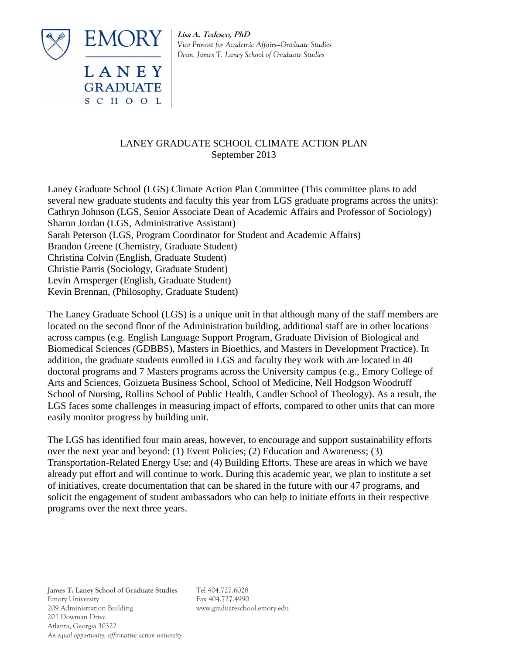

LANEY **GRADUATE** SCHOOL **Lisa A. Tedesco, PhD** *Vice Provost for Academic Affairs—Graduate Studies Dean, James T. Laney School of Graduate Studies*

# LANEY GRADUATE SCHOOL CLIMATE ACTION PLAN September 2013

Laney Graduate School (LGS) Climate Action Plan Committee (This committee plans to add several new graduate students and faculty this year from LGS graduate programs across the units): Cathryn Johnson (LGS, Senior Associate Dean of Academic Affairs and Professor of Sociology) Sharon Jordan (LGS, Administrative Assistant) Sarah Peterson (LGS, Program Coordinator for Student and Academic Affairs) Brandon Greene (Chemistry, Graduate Student) Christina Colvin (English, Graduate Student) Christie Parris (Sociology, Graduate Student) Levin Arnsperger (English, Graduate Student) Kevin Brennan, (Philosophy, Graduate Student)

The Laney Graduate School (LGS) is a unique unit in that although many of the staff members are located on the second floor of the Administration building, additional staff are in other locations across campus (e.g. English Language Support Program, Graduate Division of Biological and Biomedical Sciences (GDBBS), Masters in Bioethics, and Masters in Development Practice). In addition, the graduate students enrolled in LGS and faculty they work with are located in 40 doctoral programs and 7 Masters programs across the University campus (e.g., Emory College of Arts and Sciences, Goizueta Business School, School of Medicine, Nell Hodgson Woodruff School of Nursing, Rollins School of Public Health, Candler School of Theology). As a result, the LGS faces some challenges in measuring impact of efforts, compared to other units that can more easily monitor progress by building unit.

The LGS has identified four main areas, however, to encourage and support sustainability efforts over the next year and beyond: (1) Event Policies; (2) Education and Awareness; (3) Transportation-Related Energy Use; and (4) Building Efforts. These are areas in which we have already put effort and will continue to work. During this academic year, we plan to institute a set of initiatives, create documentation that can be shared in the future with our 47 programs, and solicit the engagement of student ambassadors who can help to initiate efforts in their respective programs over the next three years.

**James T. Laney School of Graduate Studies** Tel 404.727.6028 Emory University Fax 404.727.4990 209 Administration Building www.graduateschool.emory.edu 201 Dowman Drive Atlanta, Georgia 30322 *An equal opportunity, affirmative action university*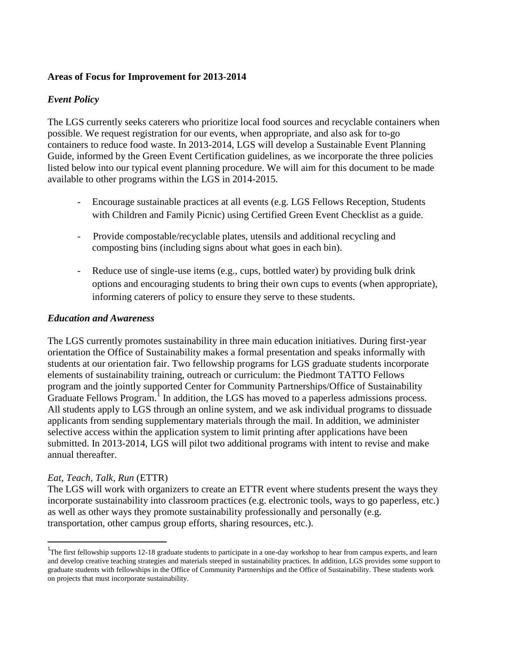## **Areas of Focus for Improvement for 2013-2014**

### *Event Policy*

The LGS currently seeks caterers who prioritize local food sources and recyclable containers when possible. We request registration for our events, when appropriate, and also ask for to-go containers to reduce food waste. In 2013-2014, LGS will develop a Sustainable Event Planning Guide, informed by the Green Event Certification guidelines, as we incorporate the three policies listed below into our typical event planning procedure. We will aim for this document to be made available to other programs within the LGS in 2014-2015.

- Encourage sustainable practices at all events (e.g. LGS Fellows Reception, Students with Children and Family Picnic) using Certified Green Event Checklist as a guide.
- Provide compostable/recyclable plates, utensils and additional recycling and composting bins (including signs about what goes in each bin).
- Reduce use of single-use items (e.g., cups, bottled water) by providing bulk drink options and encouraging students to bring their own cups to events (when appropriate), informing caterers of policy to ensure they serve to these students.

#### *Education and Awareness*

The LGS currently promotes sustainability in three main education initiatives. During first-year orientation the Office of Sustainability makes a formal presentation and speaks informally with students at our orientation fair. Two fellowship programs for LGS graduate students incorporate elements of sustainability training, outreach or curriculum: the Piedmont TATTO Fellows program and the jointly supported Center for Community Partnerships/Office of Sustainability Graduate Fellows Program.<sup>1</sup> In addition, the LGS has moved to a paperless admissions process. All students apply to LGS through an online system, and we ask individual programs to dissuade applicants from sending supplementary materials through the mail. In addition, we administer selective access within the application system to limit printing after applications have been submitted. In 2013-2014, LGS will pilot two additional programs with intent to revise and make annual thereafter.

#### *Eat, Teach, Talk, Run* (ETTR)

 $\overline{a}$ 

The LGS will work with organizers to create an ETTR event where students present the ways they incorporate sustainability into classroom practices (e.g. electronic tools, ways to go paperless, etc.) as well as other ways they promote sustainability professionally and personally (e.g. transportation, other campus group efforts, sharing resources, etc.).

<sup>&</sup>lt;sup>1</sup>The first fellowship supports 12-18 graduate students to participate in a one-day workshop to hear from campus experts, and learn and develop creative teaching strategies and materials steeped in sustainability practices. In addition, LGS provides some support to graduate students with fellowships in the Office of Community Partnerships and the Office of Sustainability. These students work on projects that must incorporate sustainability.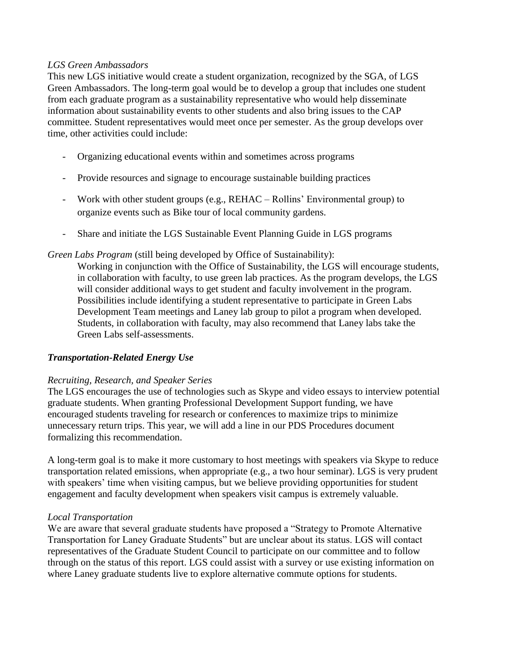#### *LGS Green Ambassadors*

This new LGS initiative would create a student organization, recognized by the SGA, of LGS Green Ambassadors. The long-term goal would be to develop a group that includes one student from each graduate program as a sustainability representative who would help disseminate information about sustainability events to other students and also bring issues to the CAP committee. Student representatives would meet once per semester. As the group develops over time, other activities could include:

- Organizing educational events within and sometimes across programs
- Provide resources and signage to encourage sustainable building practices
- Work with other student groups (e.g., REHAC Rollins' Environmental group) to organize events such as Bike tour of local community gardens.
- Share and initiate the LGS Sustainable Event Planning Guide in LGS programs

#### *Green Labs Program* (still being developed by Office of Sustainability):

Working in conjunction with the Office of Sustainability, the LGS will encourage students, in collaboration with faculty, to use green lab practices. As the program develops, the LGS will consider additional ways to get student and faculty involvement in the program. Possibilities include identifying a student representative to participate in Green Labs Development Team meetings and Laney lab group to pilot a program when developed. Students, in collaboration with faculty, may also recommend that Laney labs take the Green Labs self-assessments.

## *Transportation-Related Energy Use*

#### *Recruiting, Research, and Speaker Series*

The LGS encourages the use of technologies such as Skype and video essays to interview potential graduate students. When granting Professional Development Support funding, we have encouraged students traveling for research or conferences to maximize trips to minimize unnecessary return trips. This year, we will add a line in our PDS Procedures document formalizing this recommendation.

A long-term goal is to make it more customary to host meetings with speakers via Skype to reduce transportation related emissions, when appropriate (e.g., a two hour seminar). LGS is very prudent with speakers' time when visiting campus, but we believe providing opportunities for student engagement and faculty development when speakers visit campus is extremely valuable.

#### *Local Transportation*

We are aware that several graduate students have proposed a "Strategy to Promote Alternative Transportation for Laney Graduate Students" but are unclear about its status. LGS will contact representatives of the Graduate Student Council to participate on our committee and to follow through on the status of this report. LGS could assist with a survey or use existing information on where Laney graduate students live to explore alternative commute options for students.